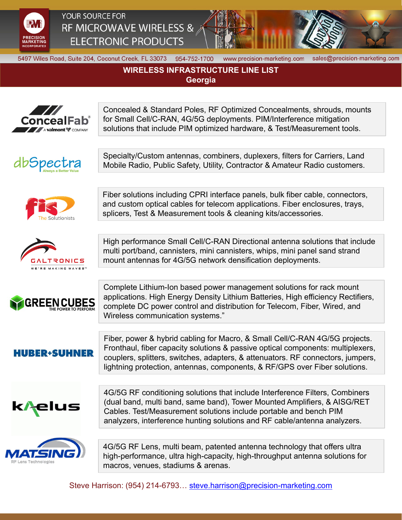

YOUR SOURCE FOR RF MICROWAVE WIRELESS & **ELECTRONIC PRODUCTS** 



5497 Wiles Road, Suite 204, Coconut Creek, FL 33073 954-752-1700

www.precision-marketing.com

sales@precision-marketing.com

## **WIRELESS INFRASTRUCTURE LINE LIST Georgia**

Concealed & Standard Poles, RF Optimized Concealments, shrouds, mounts for Small Cell/C-RAN, 4G/5G deployments. PIM/Interference mitigation ConcealFab solutions that include PIM optimized hardware, & Test/Measurement tools. A **valmont V** COMPANY Specialty/Custom antennas, combiners, duplexers, filters for Carriers, Land dbSpectra Mobile Radio, Public Safety, Utility, Contractor & Amateur Radio customers. Fiber solutions including CPRI interface panels, bulk fiber cable, connectors, and custom optical cables for telecom applications. Fiber enclosures, trays, splicers, Test & Measurement tools & cleaning kits/accessories. High performance Small Cell/C-RAN Directional antenna solutions that include multi port/band, cannisters, mini cannisters, whips, mini panel sand strand mount antennas for 4G/5G network densification deployments. TRONICS MAKING WAVES Complete Lithium-Ion based power management solutions for rack mount applications. High Energy Density Lithium Batteries, High efficiency Rectifiers, **GREENCUBES** complete DC power control and distribution for Telecom, Fiber, Wired, and Wireless communication systems."Fiber, power & hybrid cabling for Macro, & Small Cell/C-RAN 4G/5G projects. Fronthaul, fiber capacity solutions & passive optical components: multiplexers, **HUBER+SUHNER** couplers, splitters, switches, adapters, & attenuators. RF connectors, jumpers, lightning protection, antennas, components, & RF/GPS over Fiber solutions. 4G/5G RF conditioning solutions that include Interference Filters, Combiners (dual band, multi band, same band), Tower Mounted Amplifiers, & AISG/RET k/<sub>t</sub>elus Cables. Test/Measurement solutions include portable and bench PIM analyzers, interference hunting solutions and RF cable/antenna analyzers. 4G/5G RF Lens, multi beam, patented antenna technology that offers ultra ATSI high-performance, ultra high-capacity, high-throughput antenna solutions for macros, venues, stadiums & arenas.

Steve Harrison: (954) 214-6793… steve.harrison@precision-marketing.com